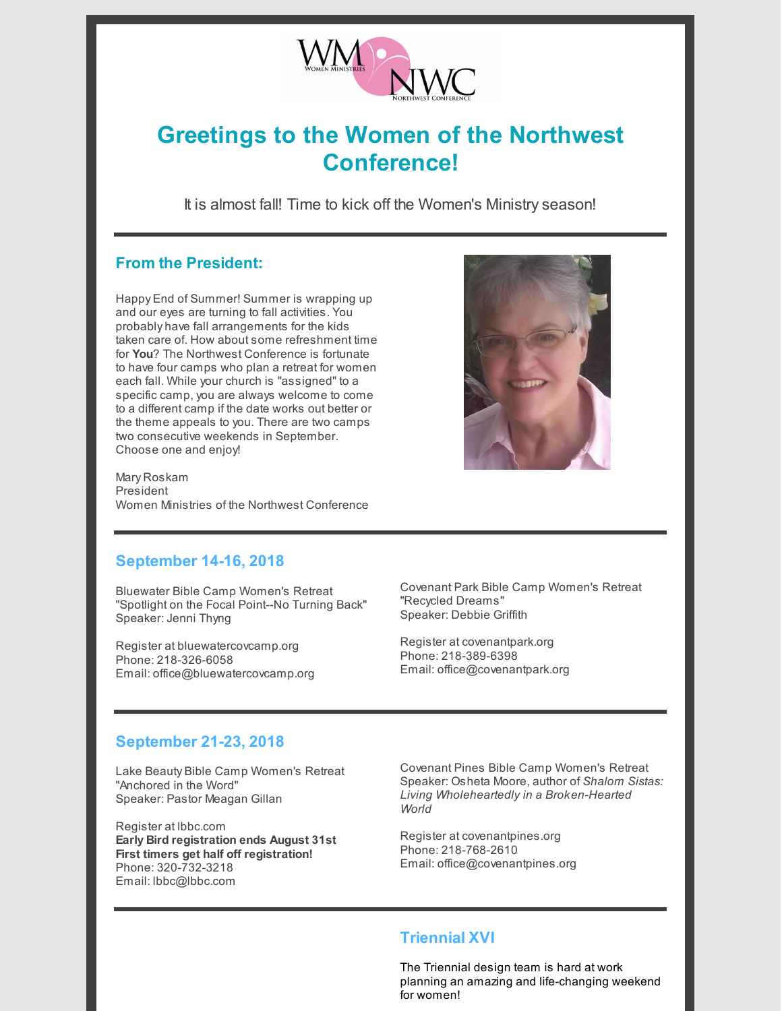

# **Greetings to the Women of the Northwest Conference!**

It is almost fall! Time to kick off the Women's Ministry season!

# **From the President:**

Happy End of Summer! Summer is wrapping up and our eyes are turning to fall activities. You probably have fall arrangements for the kids taken care of. How about some refreshment time for **You**? The Northwest Conference is fortunate to have four camps who plan a retreat for women each fall. While your church is "assigned" to a specific camp, you are always welcome to come to a different camp if the date works out better or the theme appeals to you. There are two camps two consecutive weekends in September. Choose one and enjoy!

Mary Roskam President Women Ministries of the Northwest Conference



## **September 14-16, 2018**

Bluewater Bible Camp Women's Retreat "Spotlight on the Focal Point--No Turning Back" Speaker: Jenni Thyng

Register at bluewatercovcamp.org Phone: 218-326-6058 Email: office@bluewatercovcamp.org

Covenant Park Bible Camp Women's Retreat "Recycled Dreams" Speaker: Debbie Griffith

Register at covenantpark.org Phone: 218-389-6398 Email: office@covenantpark.org

## **September 21-23, 2018**

Lake Beauty Bible Camp Women's Retreat "Anchored in the Word" Speaker: Pastor Meagan Gillan

Register at lbbc.com **Early Bird registration ends August 31st First timers get half off registration!** Phone: 320-732-3218 Email: lbbc@lbbc.com

Covenant Pines Bible Camp Women's Retreat Speaker: Osheta Moore, author of *Shalom Sistas: Living Wholeheartedly in a Broken-Hearted World*

Register at covenantpines.org Phone: 218-768-2610 Email: office@covenantpines.org

## **Triennial XVI**

The Triennial design team is hard at work planning an amazing and life-changing weekend for women!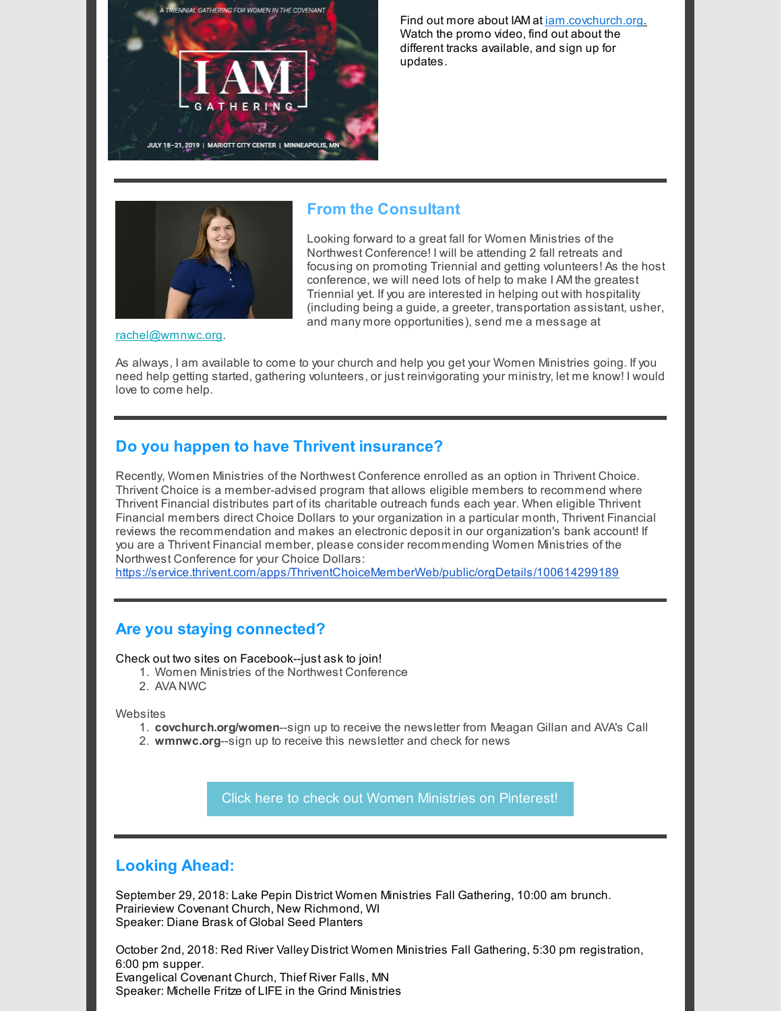

Find out more about IAM at jam.covchurch.org. Watch the promo video, find out about the different tracks available, and sign up for updates.



## **From the Consultant**

Looking forward to a great fall for Women Ministries of the Northwest Conference! I will be attending 2 fall retreats and focusing on promoting Triennial and getting volunteers! As the host conference, we will need lots of help to make I AM the greatest Triennial yet. If you are interested in helping out with hospitality (including being a guide, a greeter, transportation assistant, usher, and many more opportunities), send me a message at

[rachel@wmnwc.org](mailto:rachel@wmnwc.org).

As always, I am available to come to your church and help you get your Women Ministries going. If you need help getting started, gathering volunteers, or just reinvigorating your ministry, let me know! I would love to come help.

## **Do you happen to have Thrivent insurance?**

Recently, Women Ministries of the Northwest Conference enrolled as an option in Thrivent Choice. Thrivent Choice is a member-advised program that allows eligible members to recommend where Thrivent Financial distributes part of its charitable outreach funds each year. When eligible Thrivent Financial members direct Choice Dollars to your organization in a particular month, Thrivent Financial reviews the recommendation and makes an electronic deposit in our organization's bank account! If you are a Thrivent Financial member, please consider recommending Women Ministries of the Northwest Conference for your Choice Dollars:

<https://service.thrivent.com/apps/ThriventChoiceMemberWeb/public/orgDetails/100614299189>

#### **Are you staying connected?**

Check out two sites on Facebook--just ask to join!

- 1. Women Ministries of the Northwest Conference
- 2. AVA NWC

**Websites** 

- 1. **covchurch.org/women**--sign up to receive the newsletter from Meagan Gillan and AVA's Call
- 2. **wmnwc.org**--sign up to receive this newsletter and check for news

Click here to check out Women Ministries on [Pinterest!](http://www.pinterest.com/womenministries)

## **Looking Ahead:**

September 29, 2018: Lake Pepin District Women Ministries Fall Gathering, 10:00 am brunch. Prairieview Covenant Church, New Richmond, WI Speaker: Diane Brask of Global Seed Planters

October 2nd, 2018: Red River Valley District Women Ministries Fall Gathering, 5:30 pm registration, 6:00 pm supper. Evangelical Covenant Church, Thief River Falls, MN Speaker: Michelle Fritze of LIFE in the Grind Ministries